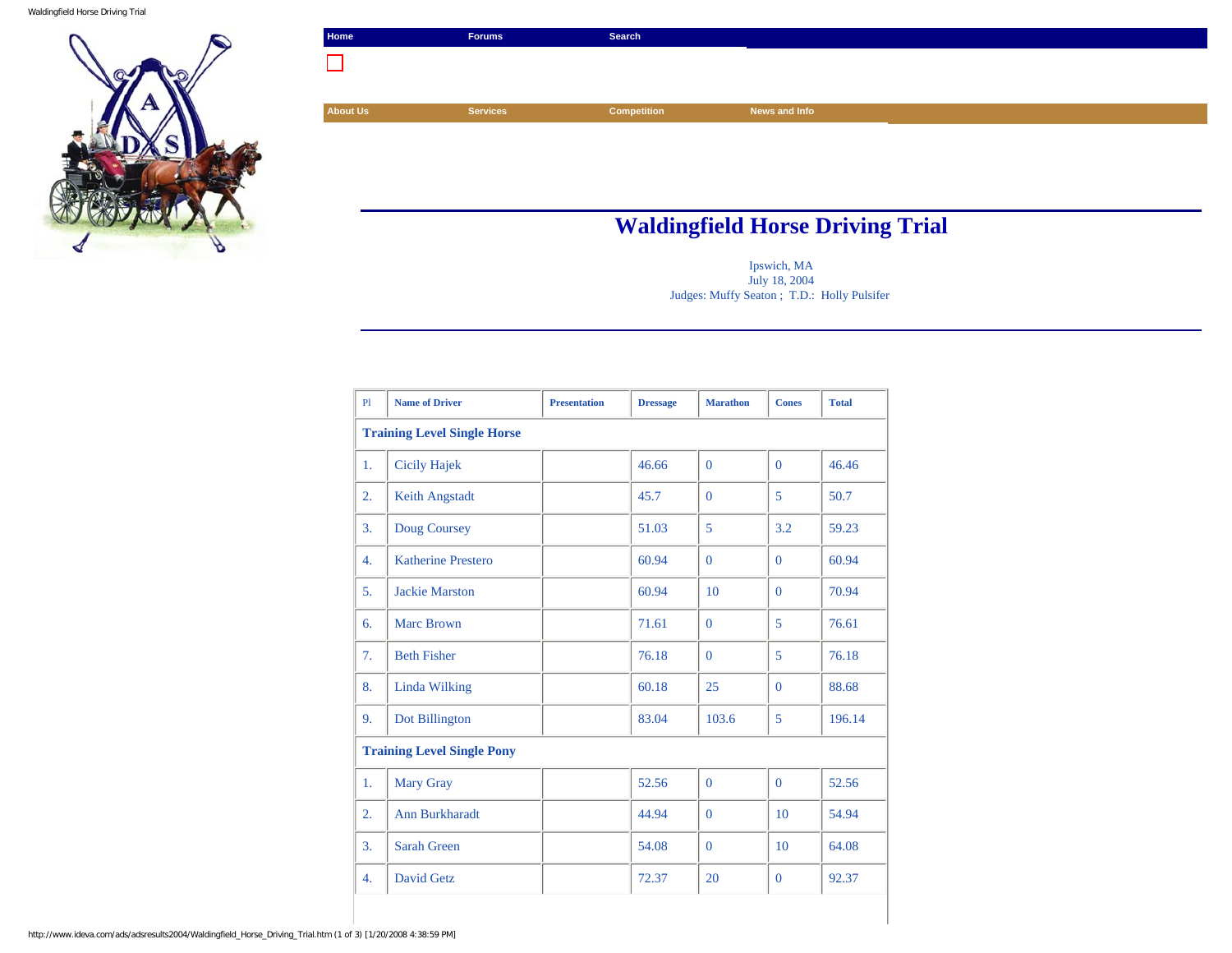Waldingfield Horse Driving Trial



| Home            | <b>Forums</b>   | Search      |               |  |
|-----------------|-----------------|-------------|---------------|--|
|                 |                 |             |               |  |
|                 |                 |             |               |  |
| <b>About Us</b> | <b>Services</b> | Competition | News and Info |  |
|                 |                 |             |               |  |
|                 |                 |             |               |  |
|                 |                 |             |               |  |

## **Waldingfield Horse Driving Trial**

Ipswich, MA July 18, 2004 Judges: Muffy Seaton ; T.D.: Holly Pulsifer

| P1 | <b>Name of Driver</b>              | <b>Presentation</b> | <b>Dressage</b> | <b>Marathon</b> | <b>Cones</b> | <b>Total</b> |
|----|------------------------------------|---------------------|-----------------|-----------------|--------------|--------------|
|    | <b>Training Level Single Horse</b> |                     |                 |                 |              |              |
| 1. | Cicily Hajek                       |                     | 46.66           | $\mathbf{0}$    | $\Omega$     | 46.46        |
| 2. | Keith Angstadt                     |                     | 45.7            | $\Omega$        | 5            | 50.7         |
| 3. | Doug Coursey                       |                     | 51.03           | 5               | 3.2          | 59.23        |
| 4. | <b>Katherine Prestero</b>          |                     | 60.94           | $\Omega$        | $\Omega$     | 60.94        |
| 5. | <b>Jackie Marston</b>              |                     | 60.94           | 10              | $\Omega$     | 70.94        |
| 6. | <b>Marc Brown</b>                  |                     | 71.61           | $\mathbf{0}$    | 5            | 76.61        |
| 7. | <b>Beth Fisher</b>                 |                     | 76.18           | $\theta$        | 5            | 76.18        |
| 8. | Linda Wilking                      |                     | 60.18           | 25              | $\mathbf{0}$ | 88.68        |
| 9. | Dot Billington                     |                     | 83.04           | 103.6           | 5            | 196.14       |
|    | <b>Training Level Single Pony</b>  |                     |                 |                 |              |              |
| 1. | Mary Gray                          |                     | 52.56           | $\mathbf{0}$    | $\mathbf{0}$ | 52.56        |
| 2. | Ann Burkharadt                     |                     | 44.94           | $\theta$        | 10           | 54.94        |
| 3. | <b>Sarah Green</b>                 |                     | 54.08           | $\mathbf{0}$    | 10           | 64.08        |
| 4. | David Getz                         |                     | 72.37           | 20              | $\mathbf{0}$ | 92.37        |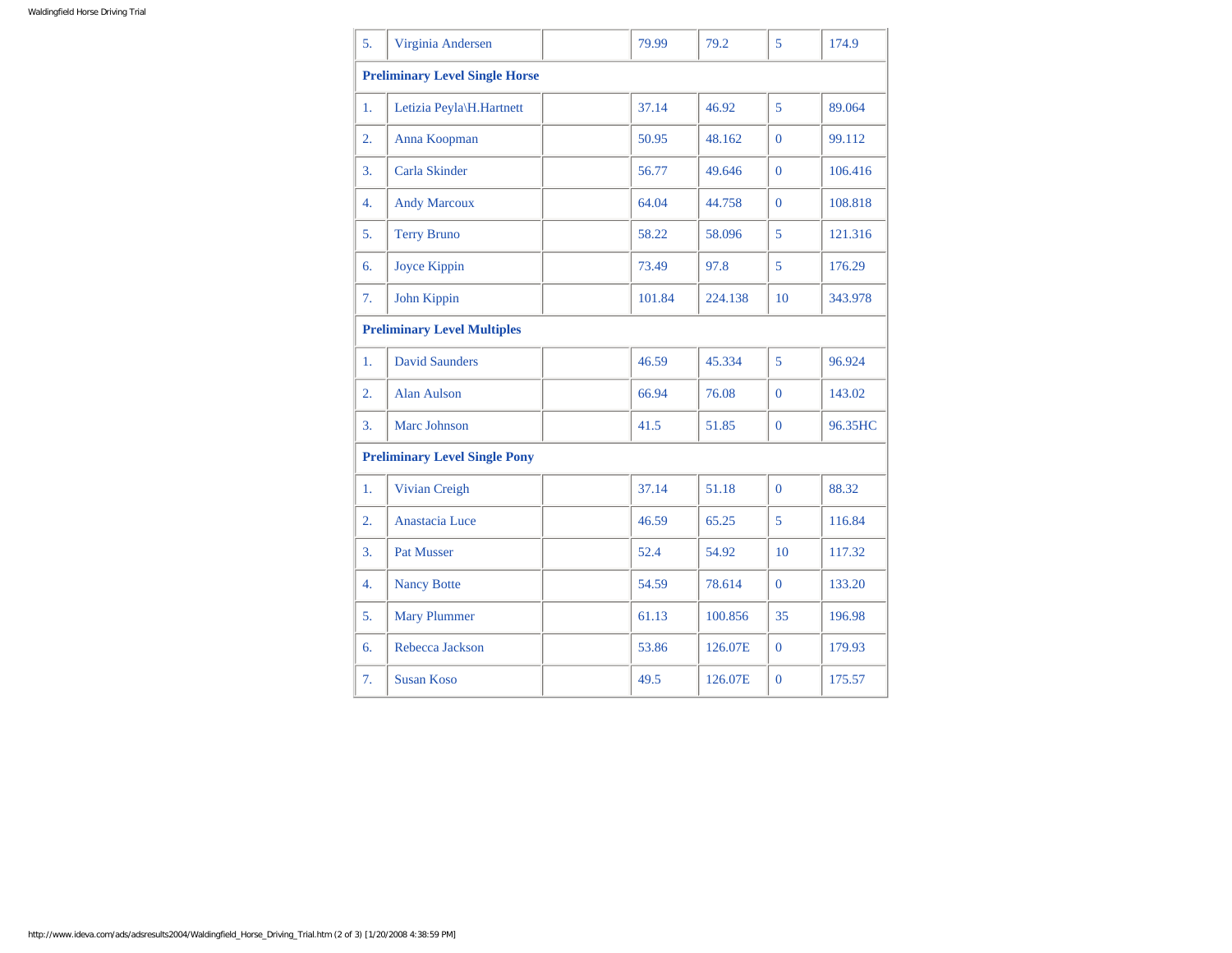| 5. | Virginia Andersen                     |  | 79.99  | 79.2    | 5              | 174.9   |
|----|---------------------------------------|--|--------|---------|----------------|---------|
|    | <b>Preliminary Level Single Horse</b> |  |        |         |                |         |
| 1. | Letizia Peyla\H.Hartnett              |  | 37.14  | 46.92   | 5              | 89.064  |
| 2. | Anna Koopman                          |  | 50.95  | 48.162  | $\theta$       | 99.112  |
| 3. | Carla Skinder                         |  | 56.77  | 49.646  | $\Omega$       | 106.416 |
| 4. | <b>Andy Marcoux</b>                   |  | 64.04  | 44.758  | $\overline{0}$ | 108.818 |
| 5. | <b>Terry Bruno</b>                    |  | 58.22  | 58.096  | 5              | 121.316 |
| 6. | Joyce Kippin                          |  | 73.49  | 97.8    | 5              | 176.29  |
| 7. | John Kippin                           |  | 101.84 | 224.138 | 10             | 343.978 |
|    | <b>Preliminary Level Multiples</b>    |  |        |         |                |         |
| 1. | <b>David Saunders</b>                 |  | 46.59  | 45.334  | 5              | 96.924  |
| 2. | <b>Alan Aulson</b>                    |  | 66.94  | 76.08   | $\Omega$       | 143.02  |
| 3. | Marc Johnson                          |  | 41.5   | 51.85   | $\Omega$       | 96.35HC |
|    | <b>Preliminary Level Single Pony</b>  |  |        |         |                |         |
| 1. | Vivian Creigh                         |  | 37.14  | 51.18   | $\overline{0}$ | 88.32   |
| 2. | Anastacia Luce                        |  | 46.59  | 65.25   | 5              | 116.84  |
| 3. | <b>Pat Musser</b>                     |  | 52.4   | 54.92   | 10             | 117.32  |
| 4. | <b>Nancy Botte</b>                    |  | 54.59  | 78.614  | $\Omega$       | 133.20  |
| 5. | <b>Mary Plummer</b>                   |  | 61.13  | 100.856 | 35             | 196.98  |
| 6. | Rebecca Jackson                       |  | 53.86  | 126.07E | $\mathbf{0}$   | 179.93  |
| 7. | <b>Susan Koso</b>                     |  | 49.5   | 126.07E | $\overline{0}$ | 175.57  |